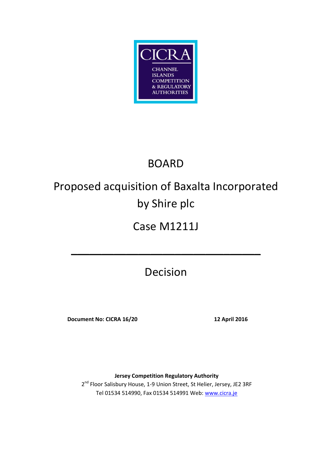

## BOARD

# Proposed acquisition of Baxalta Incorporated by Shire plc

### Case M1211J

Decision

**\_\_\_\_\_\_\_\_\_\_\_\_\_\_\_\_\_\_\_\_\_\_\_\_\_\_\_\_\_\_\_**

**Document No: CICRA 16/20 12 April 2016**

**Jersey Competition Regulatory Authority** 2<sup>nd</sup> Floor Salisbury House, 1-9 Union Street, St Helier, Jersey, JE2 3RF Tel 01534 514990, Fax 01534 514991 Web: [www.cicra.je](http://www.cicra.je/)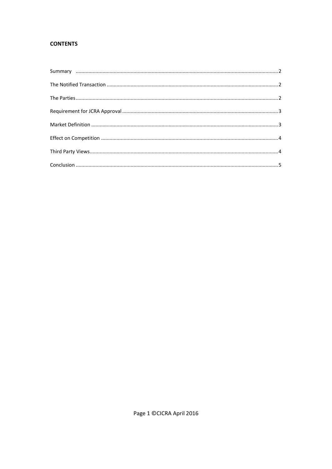#### **CONTENTS**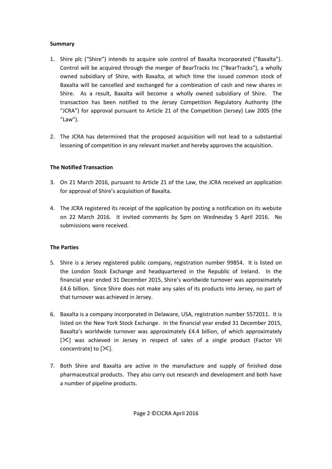#### <span id="page-2-0"></span>**Summary**

- 1. Shire plc ("Shire") intends to acquire sole control of Baxalta Incorporated ("Baxalta"). Control will be acquired through the merger of BearTracks Inc ("BearTracks"), a wholly owned subsidiary of Shire, with Baxalta, at which time the issued common stock of Baxalta will be cancelled and exchanged for a combination of cash and new shares in Shire. As a result, Baxalta will become a wholly owned subsidiary of Shire. The transaction has been notified to the Jersey Competition Regulatory Authority (the "JCRA") for approval pursuant to Article 21 of the Competition (Jersey) Law 2005 (the "Law").
- 2. The JCRA has determined that the proposed acquisition will not lead to a substantial lessening of competition in any relevant market and hereby approves the acquisition.

#### <span id="page-2-1"></span>**The Notified Transaction**

- 3. On 21 March 2016, pursuant to Article 21 of the Law, the JCRA received an application for approval of Shire's acquisition of Baxalta.
- 4. The JCRA registered its receipt of the application by posting a notification on its website on 22 March 2016. It invited comments by 5pm on Wednesday 5 April 2016. No submissions were received.

#### <span id="page-2-2"></span>**The Parties**

- 5. Shire is a Jersey registered public company, registration number 99854. It is listed on the London Stock Exchange and headquartered in the Republic of Ireland. In the financial year ended 31 December 2015, Shire's worldwide turnover was approximately £4.6 billion. Since Shire does not make any sales of its products into Jersey, no part of that turnover was achieved in Jersey.
- 6. Baxalta is a company incorporated in Delaware, USA, registration number 5572011. It is listed on the New York Stock Exchange. In the financial year ended 31 December 2015, Baxalta's worldwide turnover was approximately £4.4 billion, of which approximately [ $\ge$ ] was achieved in Jersey in respect of sales of a single product (Factor VII concentrate) to  $[\mathcal{K}]$ .
- 7. Both Shire and Baxalta are active in the manufacture and supply of finished dose pharmaceutical products. They also carry out research and development and both have a number of pipeline products.

Page 2 ©CICRA April 2016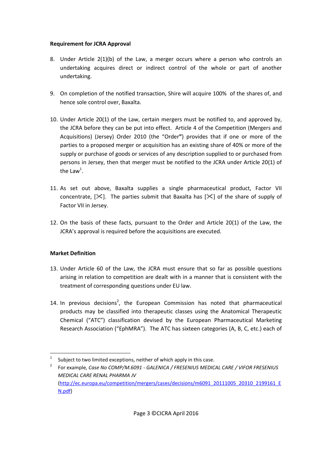#### <span id="page-3-0"></span>**Requirement for JCRA Approval**

- 8. Under Article 2(1)(b) of the Law, a merger occurs where a person who controls an undertaking acquires direct or indirect control of the whole or part of another undertaking.
- 9. On completion of the notified transaction, Shire will acquire 100% of the shares of, and hence sole control over, Baxalta.
- 10. Under Article 20(1) of the Law, certain mergers must be notified to, and approved by, the JCRA before they can be put into effect. Article 4 of the Competition (Mergers and Acquisitions) (Jersey) Order 2010 (the "Order**"**) provides that if one or more of the parties to a proposed merger or acquisition has an existing share of 40% or more of the supply or purchase of goods or services of any description supplied to or purchased from persons in Jersey, then that merger must be notified to the JCRA under Article 20(1) of the Law<sup>1</sup>.
- 11. As set out above, Baxalta supplies a single pharmaceutical product, Factor VII concentrate,  $[\times]$ . The parties submit that Baxalta has  $[\times]$  of the share of supply of Factor VII in Jersey.
- 12. On the basis of these facts, pursuant to the Order and Article 20(1) of the Law, the JCRA's approval is required before the acquisitions are executed.

#### <span id="page-3-1"></span>**Market Definition**

 $\overline{a}$ 

- 13. Under Article 60 of the Law, the JCRA must ensure that so far as possible questions arising in relation to competition are dealt with in a manner that is consistent with the treatment of corresponding questions under EU law.
- 14. In previous decisions<sup>2</sup>, the European Commission has noted that pharmaceutical products may be classified into therapeutic classes using the Anatomical Therapeutic Chemical ("ATC") classification devised by the European Pharmaceutical Marketing Research Association ("EphMRA"). The ATC has sixteen categories (A, B, C, etc.) each of

<sup>1</sup> Subject to two limited exceptions, neither of which apply in this case.

<sup>2</sup> For example*, Case No COMP/M.6091 - GALENICA / FRESENIUS MEDICAL CARE / VIFOR FRESENIUS MEDICAL CARE RENAL PHARMA JV* [\(http://ec.europa.eu/competition/mergers/cases/decisions/m6091\\_20111005\\_20310\\_2199161\\_E](http://ec.europa.eu/competition/mergers/cases/decisions/m6091_20111005_20310_2199161_EN.pdf) [N.pdf\)](http://ec.europa.eu/competition/mergers/cases/decisions/m6091_20111005_20310_2199161_EN.pdf)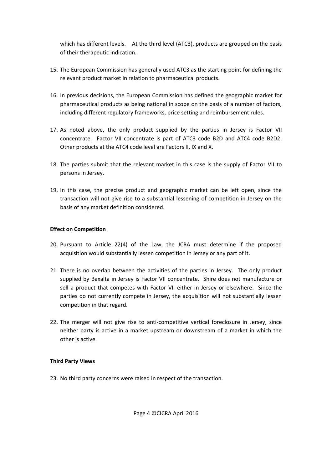which has different levels. At the third level (ATC3), products are grouped on the basis of their therapeutic indication.

- 15. The European Commission has generally used ATC3 as the starting point for defining the relevant product market in relation to pharmaceutical products.
- 16. In previous decisions, the European Commission has defined the geographic market for pharmaceutical products as being national in scope on the basis of a number of factors, including different regulatory frameworks, price setting and reimbursement rules.
- 17. As noted above, the only product supplied by the parties in Jersey is Factor VII concentrate. Factor VII concentrate is part of ATC3 code B2D and ATC4 code B2D2. Other products at the ATC4 code level are Factors II, IX and X.
- 18. The parties submit that the relevant market in this case is the supply of Factor VII to persons in Jersey.
- 19. In this case, the precise product and geographic market can be left open, since the transaction will not give rise to a substantial lessening of competition in Jersey on the basis of any market definition considered.

#### <span id="page-4-0"></span>**Effect on Competition**

- 20. Pursuant to Article 22(4) of the Law, the JCRA must determine if the proposed acquisition would substantially lessen competition in Jersey or any part of it.
- 21. There is no overlap between the activities of the parties in Jersey. The only product supplied by Baxalta in Jersey is Factor VII concentrate. Shire does not manufacture or sell a product that competes with Factor VII either in Jersey or elsewhere. Since the parties do not currently compete in Jersey, the acquisition will not substantially lessen competition in that regard.
- 22. The merger will not give rise to anti-competitive vertical foreclosure in Jersey, since neither party is active in a market upstream or downstream of a market in which the other is active.

#### <span id="page-4-1"></span>**Third Party Views**

23. No third party concerns were raised in respect of the transaction.

Page 4 ©CICRA April 2016